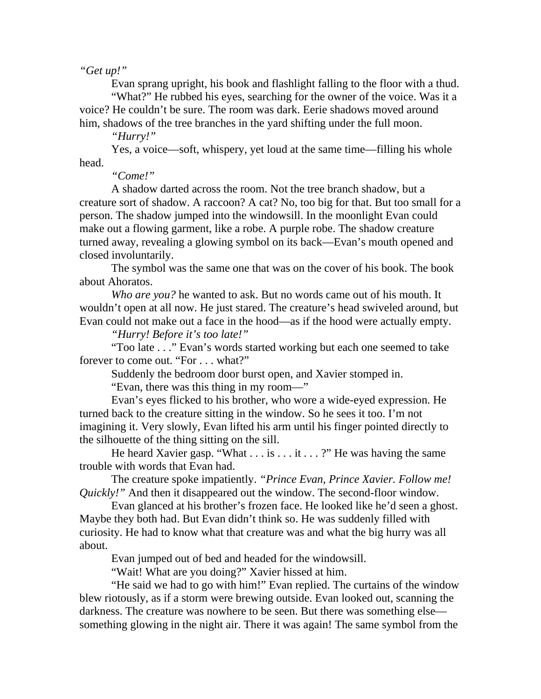## *"Get up!"*

Evan sprang upright, his book and flashlight falling to the floor with a thud. "What?" He rubbed his eyes, searching for the owner of the voice. Was it a voice? He couldn't be sure. The room was dark. Eerie shadows moved around him, shadows of the tree branches in the yard shifting under the full moon.

*"Hurry!"* 

Yes, a voice—soft, whispery, yet loud at the same time—filling his whole head.

*"Come!"* 

A shadow darted across the room. Not the tree branch shadow, but a creature sort of shadow. A raccoon? A cat? No, too big for that. But too small for a person. The shadow jumped into the windowsill. In the moonlight Evan could make out a flowing garment, like a robe. A purple robe. The shadow creature turned away, revealing a glowing symbol on its back—Evan's mouth opened and closed involuntarily.

The symbol was the same one that was on the cover of his book. The book about Ahoratos.

*Who are you?* he wanted to ask. But no words came out of his mouth. It wouldn't open at all now. He just stared. The creature's head swiveled around, but Evan could not make out a face in the hood—as if the hood were actually empty.

*"Hurry! Before it's too late!"* 

"Too late . . ." Evan's words started working but each one seemed to take forever to come out. "For . . . what?"

Suddenly the bedroom door burst open, and Xavier stomped in.

"Evan, there was this thing in my room—"

Evan's eyes flicked to his brother, who wore a wide-eyed expression. He turned back to the creature sitting in the window. So he sees it too. I'm not imagining it. Very slowly, Evan lifted his arm until his finger pointed directly to the silhouette of the thing sitting on the sill.

He heard Xavier gasp. "What . . . is . . . it . . . ?" He was having the same trouble with words that Evan had.

 The creature spoke impatiently. *"Prince Evan, Prince Xavier. Follow me! Quickly!"* And then it disappeared out the window. The second-floor window.

Evan glanced at his brother's frozen face. He looked like he'd seen a ghost. Maybe they both had. But Evan didn't think so. He was suddenly filled with curiosity. He had to know what that creature was and what the big hurry was all about.

Evan jumped out of bed and headed for the windowsill.

"Wait! What are you doing?" Xavier hissed at him.

"He said we had to go with him!" Evan replied. The curtains of the window blew riotously, as if a storm were brewing outside. Evan looked out, scanning the darkness. The creature was nowhere to be seen. But there was something else something glowing in the night air. There it was again! The same symbol from the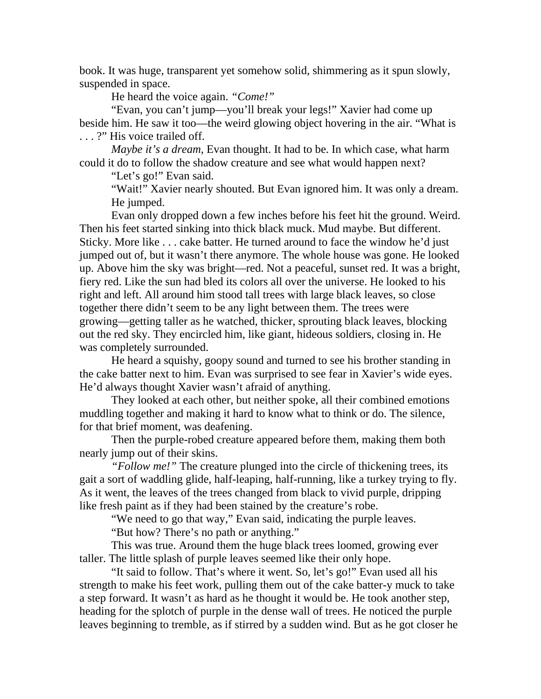book. It was huge, transparent yet somehow solid, shimmering as it spun slowly, suspended in space.

He heard the voice again. *"Come!"*

"Evan, you can't jump—you'll break your legs!" Xavier had come up beside him. He saw it too—the weird glowing object hovering in the air. "What is . . . ?" His voice trailed off.

*Maybe it's a dream,* Evan thought. It had to be. In which case, what harm could it do to follow the shadow creature and see what would happen next?

"Let's go!" Evan said.

"Wait!" Xavier nearly shouted. But Evan ignored him. It was only a dream. He jumped.

Evan only dropped down a few inches before his feet hit the ground. Weird. Then his feet started sinking into thick black muck. Mud maybe. But different. Sticky. More like . . . cake batter. He turned around to face the window he'd just jumped out of, but it wasn't there anymore. The whole house was gone. He looked up. Above him the sky was bright—red. Not a peaceful, sunset red. It was a bright, fiery red. Like the sun had bled its colors all over the universe. He looked to his right and left. All around him stood tall trees with large black leaves, so close together there didn't seem to be any light between them. The trees were growing—getting taller as he watched, thicker, sprouting black leaves, blocking out the red sky. They encircled him, like giant, hideous soldiers, closing in. He was completely surrounded.

He heard a squishy, goopy sound and turned to see his brother standing in the cake batter next to him. Evan was surprised to see fear in Xavier's wide eyes. He'd always thought Xavier wasn't afraid of anything.

 They looked at each other, but neither spoke, all their combined emotions muddling together and making it hard to know what to think or do. The silence, for that brief moment, was deafening.

Then the purple-robed creature appeared before them, making them both nearly jump out of their skins.

*"Follow me!"* The creature plunged into the circle of thickening trees, its gait a sort of waddling glide, half-leaping, half-running, like a turkey trying to fly. As it went, the leaves of the trees changed from black to vivid purple, dripping like fresh paint as if they had been stained by the creature's robe.

"We need to go that way," Evan said, indicating the purple leaves.

"But how? There's no path or anything."

This was true. Around them the huge black trees loomed, growing ever taller. The little splash of purple leaves seemed like their only hope.

"It said to follow. That's where it went. So, let's go!" Evan used all his strength to make his feet work, pulling them out of the cake batter-y muck to take a step forward. It wasn't as hard as he thought it would be. He took another step, heading for the splotch of purple in the dense wall of trees. He noticed the purple leaves beginning to tremble, as if stirred by a sudden wind. But as he got closer he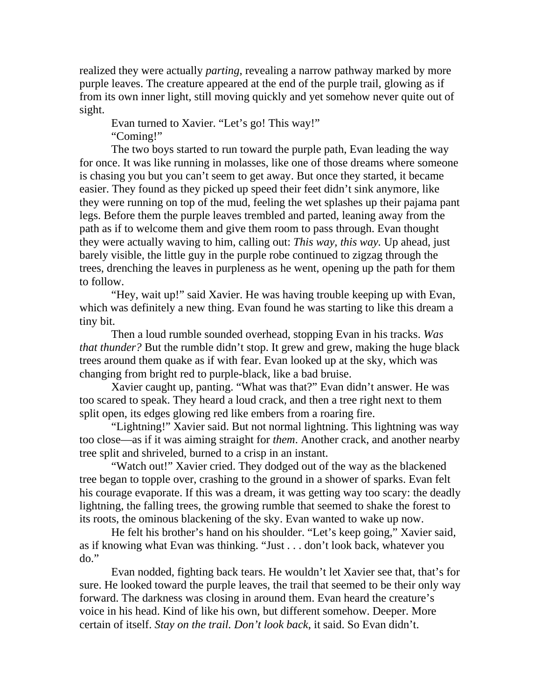realized they were actually *parting*, revealing a narrow pathway marked by more purple leaves. The creature appeared at the end of the purple trail, glowing as if from its own inner light, still moving quickly and yet somehow never quite out of sight.

Evan turned to Xavier. "Let's go! This way!" "Coming!"

The two boys started to run toward the purple path, Evan leading the way for once. It was like running in molasses, like one of those dreams where someone is chasing you but you can't seem to get away. But once they started, it became easier. They found as they picked up speed their feet didn't sink anymore, like they were running on top of the mud, feeling the wet splashes up their pajama pant legs. Before them the purple leaves trembled and parted, leaning away from the path as if to welcome them and give them room to pass through. Evan thought they were actually waving to him, calling out: *This way, this way.* Up ahead, just barely visible, the little guy in the purple robe continued to zigzag through the trees, drenching the leaves in purpleness as he went, opening up the path for them to follow.

"Hey, wait up!" said Xavier. He was having trouble keeping up with Evan, which was definitely a new thing. Evan found he was starting to like this dream a tiny bit.

Then a loud rumble sounded overhead, stopping Evan in his tracks. *Was that thunder?* But the rumble didn't stop. It grew and grew, making the huge black trees around them quake as if with fear. Evan looked up at the sky, which was changing from bright red to purple-black, like a bad bruise.

Xavier caught up, panting. "What was that?" Evan didn't answer. He was too scared to speak. They heard a loud crack, and then a tree right next to them split open, its edges glowing red like embers from a roaring fire.

"Lightning!" Xavier said. But not normal lightning. This lightning was way too close—as if it was aiming straight for *them*. Another crack, and another nearby tree split and shriveled, burned to a crisp in an instant.

"Watch out!" Xavier cried. They dodged out of the way as the blackened tree began to topple over, crashing to the ground in a shower of sparks. Evan felt his courage evaporate. If this was a dream, it was getting way too scary: the deadly lightning, the falling trees, the growing rumble that seemed to shake the forest to its roots, the ominous blackening of the sky. Evan wanted to wake up now.

He felt his brother's hand on his shoulder. "Let's keep going," Xavier said, as if knowing what Evan was thinking. "Just . . . don't look back, whatever you  $do.$ "

Evan nodded, fighting back tears. He wouldn't let Xavier see that, that's for sure. He looked toward the purple leaves, the trail that seemed to be their only way forward. The darkness was closing in around them. Evan heard the creature's voice in his head. Kind of like his own, but different somehow. Deeper. More certain of itself. *Stay on the trail. Don't look back*, it said. So Evan didn't.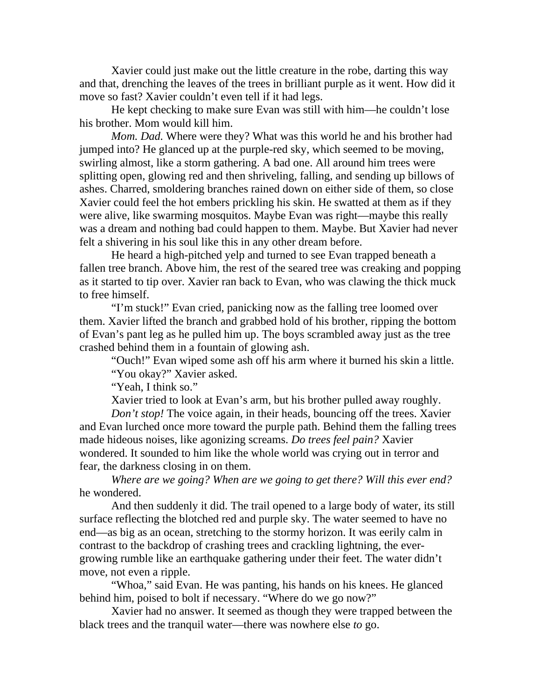Xavier could just make out the little creature in the robe, darting this way and that, drenching the leaves of the trees in brilliant purple as it went. How did it move so fast? Xavier couldn't even tell if it had legs.

He kept checking to make sure Evan was still with him—he couldn't lose his brother. Mom would kill him.

*Mom. Dad.* Where were they? What was this world he and his brother had jumped into? He glanced up at the purple-red sky, which seemed to be moving, swirling almost, like a storm gathering. A bad one. All around him trees were splitting open, glowing red and then shriveling, falling, and sending up billows of ashes. Charred, smoldering branches rained down on either side of them, so close Xavier could feel the hot embers prickling his skin. He swatted at them as if they were alive, like swarming mosquitos. Maybe Evan was right—maybe this really was a dream and nothing bad could happen to them. Maybe. But Xavier had never felt a shivering in his soul like this in any other dream before.

He heard a high-pitched yelp and turned to see Evan trapped beneath a fallen tree branch. Above him, the rest of the seared tree was creaking and popping as it started to tip over. Xavier ran back to Evan, who was clawing the thick muck to free himself.

"I'm stuck!" Evan cried, panicking now as the falling tree loomed over them. Xavier lifted the branch and grabbed hold of his brother, ripping the bottom of Evan's pant leg as he pulled him up. The boys scrambled away just as the tree crashed behind them in a fountain of glowing ash.

"Ouch!" Evan wiped some ash off his arm where it burned his skin a little. "You okay?" Xavier asked.

"Yeah, I think so."

Xavier tried to look at Evan's arm, but his brother pulled away roughly.

*Don't stop!* The voice again, in their heads, bouncing off the trees. Xavier and Evan lurched once more toward the purple path. Behind them the falling trees made hideous noises, like agonizing screams. *Do trees feel pain?* Xavier wondered. It sounded to him like the whole world was crying out in terror and fear, the darkness closing in on them.

*Where are we going? When are we going to get there? Will this ever end?* he wondered.

And then suddenly it did. The trail opened to a large body of water, its still surface reflecting the blotched red and purple sky. The water seemed to have no end—as big as an ocean, stretching to the stormy horizon. It was eerily calm in contrast to the backdrop of crashing trees and crackling lightning, the evergrowing rumble like an earthquake gathering under their feet. The water didn't move, not even a ripple.

"Whoa," said Evan. He was panting, his hands on his knees. He glanced behind him, poised to bolt if necessary. "Where do we go now?"

Xavier had no answer. It seemed as though they were trapped between the black trees and the tranquil water—there was nowhere else *to* go.